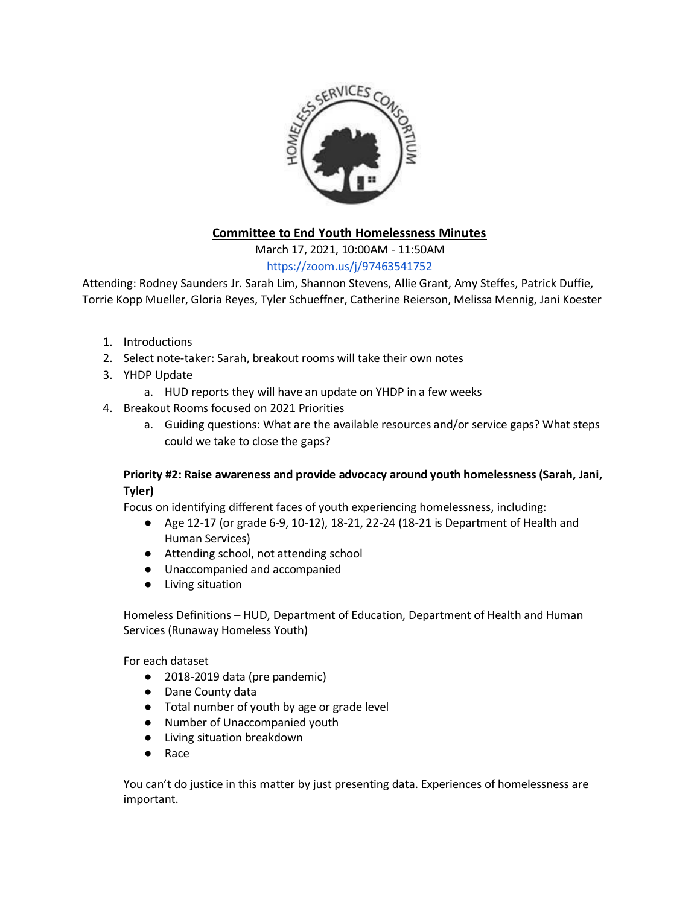

# **Committee to End Youth Homelessness Minutes**

March 17, 2021, 10:00AM - 11:50AM

# <https://zoom.us/j/97463541752>

Attending: Rodney Saunders Jr. Sarah Lim, Shannon Stevens, Allie Grant, Amy Steffes, Patrick Duffie, Torrie Kopp Mueller, Gloria Reyes, Tyler Schueffner, Catherine Reierson, Melissa Mennig, Jani Koester

- 1. Introductions
- 2. Select note-taker: Sarah, breakout rooms will take their own notes
- 3. YHDP Update
	- a. HUD reports they will have an update on YHDP in a few weeks
- 4. Breakout Rooms focused on 2021 Priorities
	- a. Guiding questions: What are the available resources and/or service gaps? What steps could we take to close the gaps?

### **Priority #2: Raise awareness and provide advocacy around youth homelessness (Sarah, Jani, Tyler)**

Focus on identifying different faces of youth experiencing homelessness, including:

- Age 12-17 (or grade 6-9, 10-12), 18-21, 22-24 (18-21 is Department of Health and Human Services)
- Attending school, not attending school
- Unaccompanied and accompanied
- Living situation

Homeless Definitions – HUD, Department of Education, Department of Health and Human Services (Runaway Homeless Youth)

For each dataset

- 2018-2019 data (pre pandemic)
- Dane County data
- Total number of youth by age or grade level
- Number of Unaccompanied youth
- Living situation breakdown
- Race

You can't do justice in this matter by just presenting data. Experiences of homelessness are important.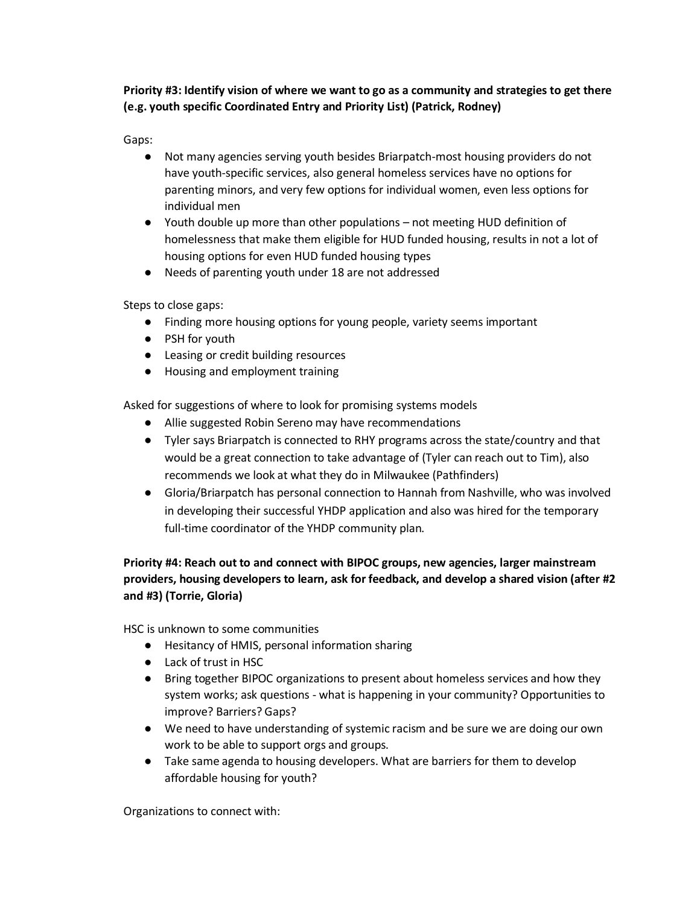**Priority #3: Identify vision of where we want to go as a community and strategies to get there (e.g. youth specific Coordinated Entry and Priority List) (Patrick, Rodney)**

Gaps:

- Not many agencies serving youth besides Briarpatch-most housing providers do not have youth-specific services, also general homeless services have no options for parenting minors, and very few options for individual women, even less options for individual men
- Youth double up more than other populations not meeting HUD definition of homelessness that make them eligible for HUD funded housing, results in not a lot of housing options for even HUD funded housing types
- Needs of parenting youth under 18 are not addressed

Steps to close gaps:

- Finding more housing options for young people, variety seems important
- PSH for youth
- Leasing or credit building resources
- Housing and employment training

Asked for suggestions of where to look for promising systems models

- Allie suggested Robin Sereno may have recommendations
- Tyler says Briarpatch is connected to RHY programs across the state/country and that would be a great connection to take advantage of (Tyler can reach out to Tim), also recommends we look at what they do in Milwaukee (Pathfinders)
- Gloria/Briarpatch has personal connection to Hannah from Nashville, who was involved in developing their successful YHDP application and also was hired for the temporary full-time coordinator of the YHDP community plan.

## **Priority #4: Reach out to and connect with BIPOC groups, new agencies, larger mainstream providers, housing developers to learn, ask for feedback, and develop a shared vision (after #2 and #3) (Torrie, Gloria)**

HSC is unknown to some communities

- Hesitancy of HMIS, personal information sharing
- Lack of trust in HSC
- Bring together BIPOC organizations to present about homeless services and how they system works; ask questions - what is happening in your community? Opportunities to improve? Barriers? Gaps?
- We need to have understanding of systemic racism and be sure we are doing our own work to be able to support orgs and groups.
- Take same agenda to housing developers. What are barriers for them to develop affordable housing for youth?

Organizations to connect with: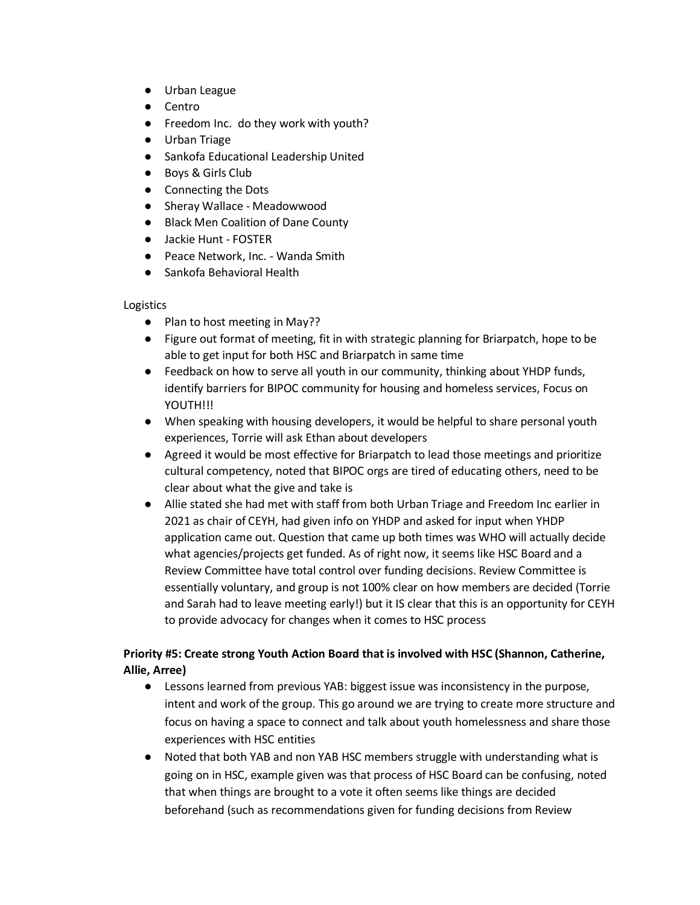- Urban League
- Centro
- Freedom Inc. do they work with youth?
- Urban Triage
- Sankofa Educational Leadership United
- Boys & Girls Club
- Connecting the Dots
- Sheray Wallace Meadowwood
- Black Men Coalition of Dane County
- Jackie Hunt FOSTER
- Peace Network, Inc. Wanda Smith
- Sankofa Behavioral Health

#### Logistics

- Plan to host meeting in May??
- Figure out format of meeting, fit in with strategic planning for Briarpatch, hope to be able to get input for both HSC and Briarpatch in same time
- Feedback on how to serve all youth in our community, thinking about YHDP funds, identify barriers for BIPOC community for housing and homeless services, Focus on YOUTH!!!
- When speaking with housing developers, it would be helpful to share personal youth experiences, Torrie will ask Ethan about developers
- Agreed it would be most effective for Briarpatch to lead those meetings and prioritize cultural competency, noted that BIPOC orgs are tired of educating others, need to be clear about what the give and take is
- Allie stated she had met with staff from both Urban Triage and Freedom Inc earlier in 2021 as chair of CEYH, had given info on YHDP and asked for input when YHDP application came out. Question that came up both times was WHO will actually decide what agencies/projects get funded. As of right now, it seems like HSC Board and a Review Committee have total control over funding decisions. Review Committee is essentially voluntary, and group is not 100% clear on how members are decided (Torrie and Sarah had to leave meeting early!) but it IS clear that this is an opportunity for CEYH to provide advocacy for changes when it comes to HSC process

## **Priority #5: Create strong Youth Action Board that is involved with HSC (Shannon, Catherine, Allie, Arree)**

- Lessons learned from previous YAB: biggest issue was inconsistency in the purpose, intent and work of the group. This go around we are trying to create more structure and focus on having a space to connect and talk about youth homelessness and share those experiences with HSC entities
- Noted that both YAB and non YAB HSC members struggle with understanding what is going on in HSC, example given was that process of HSC Board can be confusing, noted that when things are brought to a vote it often seems like things are decided beforehand (such as recommendations given for funding decisions from Review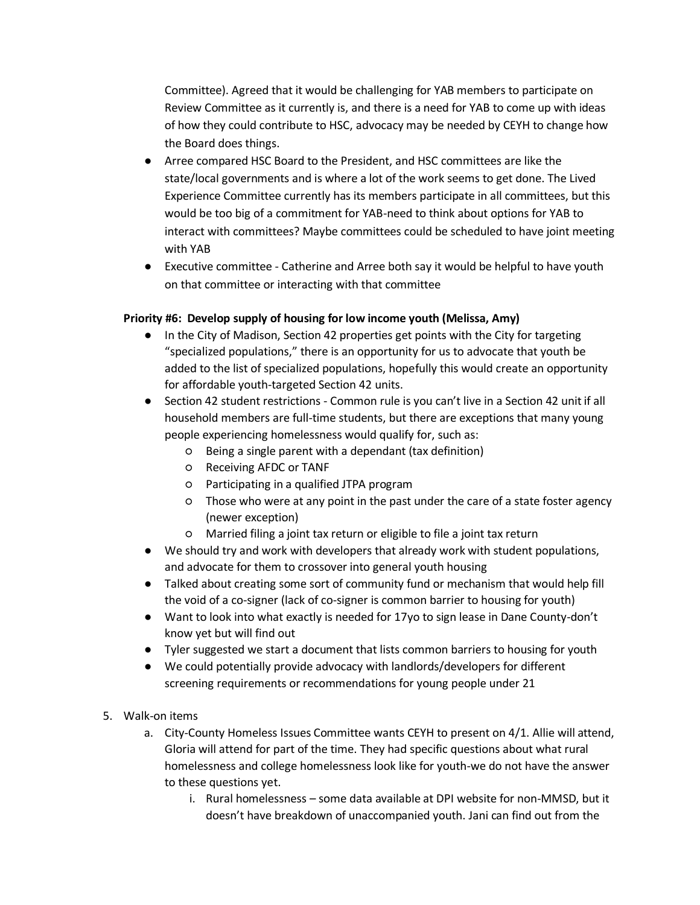Committee). Agreed that it would be challenging for YAB members to participate on Review Committee as it currently is, and there is a need for YAB to come up with ideas of how they could contribute to HSC, advocacy may be needed by CEYH to change how the Board does things.

- Arree compared HSC Board to the President, and HSC committees are like the state/local governments and is where a lot of the work seems to get done. The Lived Experience Committee currently has its members participate in all committees, but this would be too big of a commitment for YAB-need to think about options for YAB to interact with committees? Maybe committees could be scheduled to have joint meeting with YAB
- Executive committee Catherine and Arree both say it would be helpful to have youth on that committee or interacting with that committee

#### **Priority #6: Develop supply of housing for low income youth (Melissa, Amy)**

- In the City of Madison, Section 42 properties get points with the City for targeting "specialized populations," there is an opportunity for us to advocate that youth be added to the list of specialized populations, hopefully this would create an opportunity for affordable youth-targeted Section 42 units.
- Section 42 student restrictions Common rule is you can't live in a Section 42 unit if all household members are full-time students, but there are exceptions that many young people experiencing homelessness would qualify for, such as:
	- Being a single parent with a dependant (tax definition)
	- Receiving AFDC or TANF
	- Participating in a qualified JTPA program
	- Those who were at any point in the past under the care of a state foster agency (newer exception)
	- Married filing a joint tax return or eligible to file a joint tax return
- We should try and work with developers that already work with student populations, and advocate for them to crossover into general youth housing
- Talked about creating some sort of community fund or mechanism that would help fill the void of a co-signer (lack of co-signer is common barrier to housing for youth)
- Want to look into what exactly is needed for 17yo to sign lease in Dane County-don't know yet but will find out
- Tyler suggested we start a document that lists common barriers to housing for youth
- We could potentially provide advocacy with landlords/developers for different screening requirements or recommendations for young people under 21
- 5. Walk-on items
	- a. City-County Homeless Issues Committee wants CEYH to present on 4/1. Allie will attend, Gloria will attend for part of the time. They had specific questions about what rural homelessness and college homelessness look like for youth-we do not have the answer to these questions yet.
		- i. Rural homelessness some data available at DPI website for non-MMSD, but it doesn't have breakdown of unaccompanied youth. Jani can find out from the